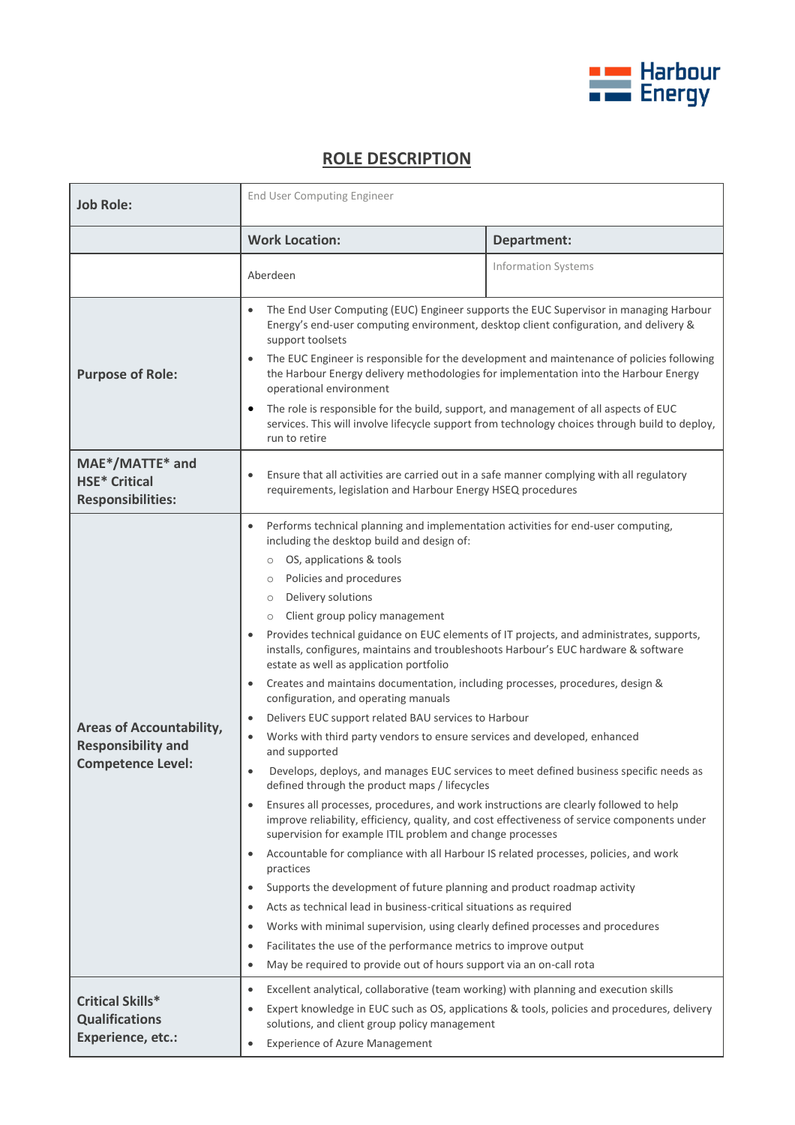

## **ROLE DESCRIPTION**

| <b>Job Role:</b>                                                                         | End User Computing Engineer                                                                                                                                                                                                                                                                                                                                                                                                                                                                                                                                                                                                                                                                                                                                                                                                                                                                                                                                                                                                                                                                                                                                                                                                                                                                                                                                                                                                                                                                                                                                                                                                                                                                                                                                                                                                  |                                                                                             |
|------------------------------------------------------------------------------------------|------------------------------------------------------------------------------------------------------------------------------------------------------------------------------------------------------------------------------------------------------------------------------------------------------------------------------------------------------------------------------------------------------------------------------------------------------------------------------------------------------------------------------------------------------------------------------------------------------------------------------------------------------------------------------------------------------------------------------------------------------------------------------------------------------------------------------------------------------------------------------------------------------------------------------------------------------------------------------------------------------------------------------------------------------------------------------------------------------------------------------------------------------------------------------------------------------------------------------------------------------------------------------------------------------------------------------------------------------------------------------------------------------------------------------------------------------------------------------------------------------------------------------------------------------------------------------------------------------------------------------------------------------------------------------------------------------------------------------------------------------------------------------------------------------------------------------|---------------------------------------------------------------------------------------------|
|                                                                                          | <b>Work Location:</b>                                                                                                                                                                                                                                                                                                                                                                                                                                                                                                                                                                                                                                                                                                                                                                                                                                                                                                                                                                                                                                                                                                                                                                                                                                                                                                                                                                                                                                                                                                                                                                                                                                                                                                                                                                                                        | Department:                                                                                 |
|                                                                                          | Aberdeen                                                                                                                                                                                                                                                                                                                                                                                                                                                                                                                                                                                                                                                                                                                                                                                                                                                                                                                                                                                                                                                                                                                                                                                                                                                                                                                                                                                                                                                                                                                                                                                                                                                                                                                                                                                                                     | <b>Information Systems</b>                                                                  |
| <b>Purpose of Role:</b>                                                                  | The End User Computing (EUC) Engineer supports the EUC Supervisor in managing Harbour<br>$\bullet$<br>Energy's end-user computing environment, desktop client configuration, and delivery &<br>support toolsets<br>The EUC Engineer is responsible for the development and maintenance of policies following<br>$\bullet$<br>the Harbour Energy delivery methodologies for implementation into the Harbour Energy<br>operational environment<br>The role is responsible for the build, support, and management of all aspects of EUC<br>٠<br>services. This will involve lifecycle support from technology choices through build to deploy,<br>run to retire                                                                                                                                                                                                                                                                                                                                                                                                                                                                                                                                                                                                                                                                                                                                                                                                                                                                                                                                                                                                                                                                                                                                                                 |                                                                                             |
| MAE*/MATTE* and<br><b>HSE* Critical</b><br><b>Responsibilities:</b>                      | Ensure that all activities are carried out in a safe manner complying with all regulatory<br>$\bullet$<br>requirements, legislation and Harbour Energy HSEQ procedures                                                                                                                                                                                                                                                                                                                                                                                                                                                                                                                                                                                                                                                                                                                                                                                                                                                                                                                                                                                                                                                                                                                                                                                                                                                                                                                                                                                                                                                                                                                                                                                                                                                       |                                                                                             |
| <b>Areas of Accountability,</b><br><b>Responsibility and</b><br><b>Competence Level:</b> | Performs technical planning and implementation activities for end-user computing,<br>$\bullet$<br>including the desktop build and design of:<br>OS, applications & tools<br>$\circ$<br>Policies and procedures<br>$\circ$<br>Delivery solutions<br>$\circ$<br>Client group policy management<br>$\circ$<br>Provides technical guidance on EUC elements of IT projects, and administrates, supports,<br>installs, configures, maintains and troubleshoots Harbour's EUC hardware & software<br>estate as well as application portfolio<br>Creates and maintains documentation, including processes, procedures, design &<br>$\bullet$<br>configuration, and operating manuals<br>Delivers EUC support related BAU services to Harbour<br>$\bullet$<br>Works with third party vendors to ensure services and developed, enhanced<br>$\bullet$<br>and supported<br>Develops, deploys, and manages EUC services to meet defined business specific needs as<br>$\bullet$<br>defined through the product maps / lifecycles<br>Ensures all processes, procedures, and work instructions are clearly followed to help<br>$\bullet$<br>improve reliability, efficiency, quality, and cost effectiveness of service components under<br>supervision for example ITIL problem and change processes<br>Accountable for compliance with all Harbour IS related processes, policies, and work<br>$\bullet$<br>practices<br>Supports the development of future planning and product roadmap activity<br>$\bullet$<br>Acts as technical lead in business-critical situations as required<br>٠<br>Works with minimal supervision, using clearly defined processes and procedures<br>٠<br>Facilitates the use of the performance metrics to improve output<br>$\bullet$<br>May be required to provide out of hours support via an on-call rota |                                                                                             |
| <b>Critical Skills*</b><br><b>Qualifications</b><br>Experience, etc.:                    | Excellent analytical, collaborative (team working) with planning and execution skills<br>$\bullet$<br>$\bullet$<br>solutions, and client group policy management<br><b>Experience of Azure Management</b><br>$\bullet$                                                                                                                                                                                                                                                                                                                                                                                                                                                                                                                                                                                                                                                                                                                                                                                                                                                                                                                                                                                                                                                                                                                                                                                                                                                                                                                                                                                                                                                                                                                                                                                                       | Expert knowledge in EUC such as OS, applications & tools, policies and procedures, delivery |